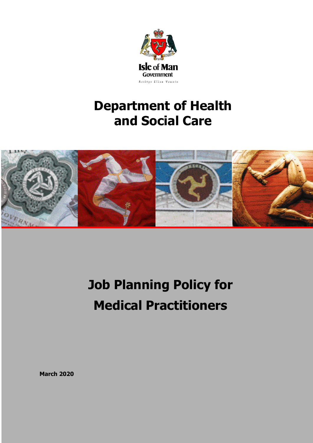

# **Department of Health and Social Care**



**Job Planning Policy for Medical Practitioners**

**March 2020**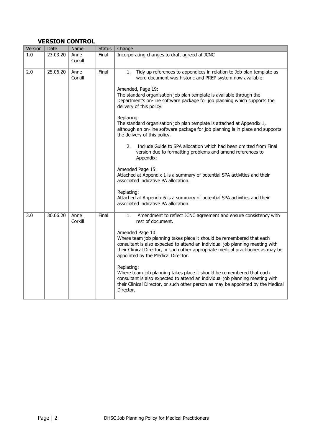#### **VERSION CONTROL**

| Version | Date     | Name            | <b>Status</b> | Change                                                                                                                                                                                                                                                                                                                                                                                                                                                                                                                                                                                                                                                                                                                                                                                                                                                                                                                                            |
|---------|----------|-----------------|---------------|---------------------------------------------------------------------------------------------------------------------------------------------------------------------------------------------------------------------------------------------------------------------------------------------------------------------------------------------------------------------------------------------------------------------------------------------------------------------------------------------------------------------------------------------------------------------------------------------------------------------------------------------------------------------------------------------------------------------------------------------------------------------------------------------------------------------------------------------------------------------------------------------------------------------------------------------------|
| 1.0     | 23.03.20 | Anne<br>Corkill | Final         | Incorporating changes to draft agreed at JCNC                                                                                                                                                                                                                                                                                                                                                                                                                                                                                                                                                                                                                                                                                                                                                                                                                                                                                                     |
| 2.0     | 25.06.20 | Anne<br>Corkill | Final         | 1.<br>Tidy up references to appendices in relation to Job plan template as<br>word document was historic and PREP system now available:<br>Amended, Page 19:<br>The standard organisation job plan template is available through the<br>Department's on-line software package for job planning which supports the<br>delivery of this policy.<br>Replacing:<br>The standard organisation job plan template is attached at Appendix 1,<br>although an on-line software package for job planning is in place and supports<br>the delivery of this policy.<br>Include Guide to SPA allocation which had been omitted from Final<br>2.<br>version due to formatting problems and amend references to<br>Appendix:<br>Amended Page 15:<br>Attached at Appendix 1 is a summary of potential SPA activities and their<br>associated indicative PA allocation.<br>Replacing:<br>Attached at Appendix 6 is a summary of potential SPA activities and their |
|         |          |                 |               | associated indicative PA allocation.                                                                                                                                                                                                                                                                                                                                                                                                                                                                                                                                                                                                                                                                                                                                                                                                                                                                                                              |
| 3.0     | 30.06.20 | Anne<br>Corkill | Final         | Amendment to reflect JCNC agreement and ensure consistency with<br>1.<br>rest of document.<br>Amended Page 10:<br>Where team job planning takes place it should be remembered that each<br>consultant is also expected to attend an individual job planning meeting with<br>their Clinical Director, or such other appropriate medical practitioner as may be<br>appointed by the Medical Director.                                                                                                                                                                                                                                                                                                                                                                                                                                                                                                                                               |
|         |          |                 |               | Replacing:<br>Where team job planning takes place it should be remembered that each<br>consultant is also expected to attend an individual job planning meeting with<br>their Clinical Director, or such other person as may be appointed by the Medical<br>Director.                                                                                                                                                                                                                                                                                                                                                                                                                                                                                                                                                                                                                                                                             |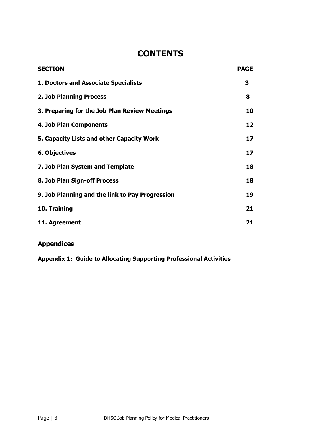### **CONTENTS**

| <b>SECTION</b>                                  | <b>PAGE</b> |
|-------------------------------------------------|-------------|
| 1. Doctors and Associate Specialists            | 3           |
| <b>2. Job Planning Process</b>                  | 8           |
| 3. Preparing for the Job Plan Review Meetings   | 10          |
| 4. Job Plan Components                          | 12          |
| 5. Capacity Lists and other Capacity Work       | 17          |
| <b>6. Objectives</b>                            | 17          |
| 7. Job Plan System and Template                 | 18          |
| 8. Job Plan Sign-off Process                    | 18          |
| 9. Job Planning and the link to Pay Progression | 19          |
| 10. Training                                    | 21          |
| 11. Agreement                                   | 21          |

#### **Appendices**

**Appendix 1: Guide to Allocating Supporting Professional Activities**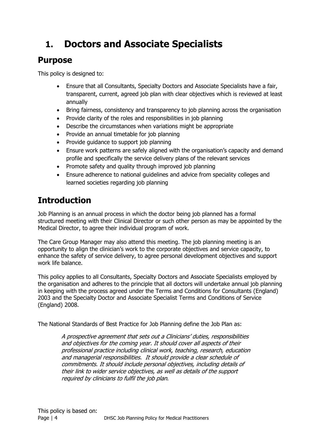# **1. Doctors and Associate Specialists**

### **Purpose**

This policy is designed to:

- Ensure that all Consultants, Specialty Doctors and Associate Specialists have a fair, transparent, current, agreed job plan with clear objectives which is reviewed at least annually
- Bring fairness, consistency and transparency to job planning across the organisation
- Provide clarity of the roles and responsibilities in job planning
- Describe the circumstances when variations might be appropriate
- Provide an annual timetable for job planning
- Provide guidance to support job planning
- Ensure work patterns are safely aligned with the organisation's capacity and demand profile and specifically the service delivery plans of the relevant services
- Promote safety and quality through improved job planning
- Ensure adherence to national guidelines and advice from speciality colleges and learned societies regarding job planning

# **Introduction**

Job Planning is an annual process in which the doctor being job planned has a formal structured meeting with their Clinical Director or such other person as may be appointed by the Medical Director, to agree their individual program of work.

The Care Group Manager may also attend this meeting. The job planning meeting is an opportunity to align the clinician's work to the corporate objectives and service capacity, to enhance the safety of service delivery, to agree personal development objectives and support work life balance.

This policy applies to all Consultants, Specialty Doctors and Associate Specialists employed by the organisation and adheres to the principle that all doctors will undertake annual job planning in keeping with the process agreed under the Terms and Conditions for Consultants (England) 2003 and the Specialty Doctor and Associate Specialist Terms and Conditions of Service (England) 2008.

The National Standards of Best Practice for Job Planning define the Job Plan as:

A prospective agreement that sets out a Clinicians' duties, responsibilities and objectives for the coming year. It should cover all aspects of their professional practice including clinical work, teaching, research, education and managerial responsibilities. It should provide a clear schedule of commitments. It should include personal objectives, including details of their link to wider service objectives, as well as details of the support required by clinicians to fulfil the job plan.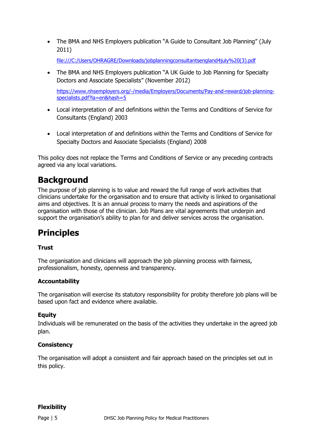• The BMA and NHS Employers publication "A Guide to Consultant Job Planning" (July 2011)

[file:///C:/Users/OHRAGRE/Downloads/jobplanningconsultantsengland4july%20\(3\).pdf](file:///C:/Users/OHRAGRE/Downloads/jobplanningconsultantsengland4july%20(3).pdf)

• The BMA and NHS Employers publication "A UK Guide to Job Planning for Specialty Doctors and Associate Specialists" (November 2012)

[https://www.nhsemployers.org/-/media/Employers/Documents/Pay-and-reward/job-planning](https://www.nhsemployers.org/-/media/Employers/Documents/Pay-and-reward/job-planning-specialists.pdf?la=en&hash=5)[specialists.pdf?la=en&hash=5](https://www.nhsemployers.org/-/media/Employers/Documents/Pay-and-reward/job-planning-specialists.pdf?la=en&hash=5)

- Local interpretation of and definitions within the Terms and Conditions of Service for Consultants (England) 2003
- Local interpretation of and definitions within the Terms and Conditions of Service for Specialty Doctors and Associate Specialists (England) 2008

This policy does not replace the Terms and Conditions of Service or any preceding contracts agreed via any local variations.

### **Background**

The purpose of job planning is to value and reward the full range of work activities that clinicians undertake for the organisation and to ensure that activity is linked to organisational aims and objectives. It is an annual process to marry the needs and aspirations of the organisation with those of the clinician. Job Plans are vital agreements that underpin and support the organisation's ability to plan for and deliver services across the organisation.

### **Principles**

#### **Trust**

The organisation and clinicians will approach the job planning process with fairness, professionalism, honesty, openness and transparency.

#### **Accountability**

The organisation will exercise its statutory responsibility for probity therefore job plans will be based upon fact and evidence where available.

#### **Equity**

Individuals will be remunerated on the basis of the activities they undertake in the agreed job plan.

#### **Consistency**

The organisation will adopt a consistent and fair approach based on the principles set out in this policy.

#### **Flexibility**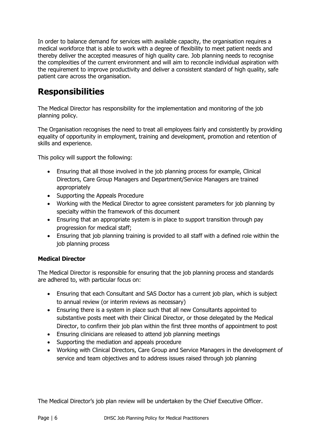In order to balance demand for services with available capacity, the organisation requires a medical workforce that is able to work with a degree of flexibility to meet patient needs and thereby deliver the accepted measures of high quality care. Job planning needs to recognise the complexities of the current environment and will aim to reconcile individual aspiration with the requirement to improve productivity and deliver a consistent standard of high quality, safe patient care across the organisation.

### **Responsibilities**

The Medical Director has responsibility for the implementation and monitoring of the job planning policy.

The Organisation recognises the need to treat all employees fairly and consistently by providing equality of opportunity in employment, training and development, promotion and retention of skills and experience.

This policy will support the following:

- Ensuring that all those involved in the job planning process for example, Clinical Directors, Care Group Managers and Department/Service Managers are trained appropriately
- Supporting the Appeals Procedure
- Working with the Medical Director to agree consistent parameters for job planning by specialty within the framework of this document
- Ensuring that an appropriate system is in place to support transition through pay progression for medical staff;
- Ensuring that job planning training is provided to all staff with a defined role within the job planning process

#### **Medical Director**

The Medical Director is responsible for ensuring that the job planning process and standards are adhered to, with particular focus on:

- Ensuring that each Consultant and SAS Doctor has a current job plan, which is subject to annual review (or interim reviews as necessary)
- Ensuring there is a system in place such that all new Consultants appointed to substantive posts meet with their Clinical Director, or those delegated by the Medical Director, to confirm their job plan within the first three months of appointment to post
- Ensuring clinicians are released to attend job planning meetings
- Supporting the mediation and appeals procedure
- Working with Clinical Directors, Care Group and Service Managers in the development of service and team objectives and to address issues raised through job planning

The Medical Director's job plan review will be undertaken by the Chief Executive Officer.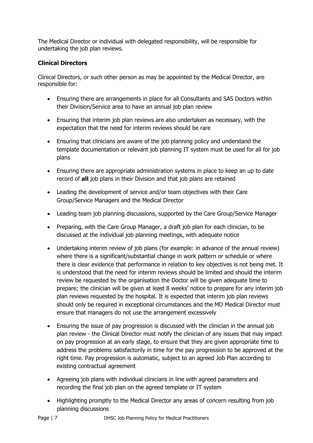The Medical Director or individual with delegated responsibility, will be responsible for undertaking the job plan reviews.

#### **Clinical Directors**

Clinical Directors, or such other person as may be appointed by the Medical Director, are responsible for:

- Ensuring there are arrangements in place for all Consultants and SAS Doctors within their Division/Service area to have an annual job plan review
- Ensuring that interim job plan reviews are also undertaken as necessary, with the expectation that the need for interim reviews should be rare
- Ensuring that clinicians are aware of the job planning policy and understand the template documentation or relevant job planning IT system must be used for all for job plans
- Ensuring there are appropriate administration systems in place to keep an up to date record of **all** job plans in their Division and that job plans are retained
- Leading the development of service and/or team objectives with their Care Group/Service Managers and the Medical Director
- Leading team job planning discussions, supported by the Care Group/Service Manager
- Preparing, with the Care Group Manager, a draft job plan for each clinician, to be discussed at the individual job planning meetings, with adequate notice
- Undertaking interim review of job plans (for example: in advance of the annual review) where there is a significant/substantial change in work pattern or schedule or where there is clear evidence that performance in relation to key objectives is not being met. It is understood that the need for interim reviews should be limited and should the interim review be requested by the organisation the Doctor will be given adequate time to prepare; the clinician will be given at least 8 weeks' notice to prepare for any interim job plan reviews requested by the hospital. It is expected that interim job plan reviews should only be required in exceptional circumstances and the MD Medical Director must ensure that managers do not use the arrangement excessively
- Ensuring the issue of pay progression is discussed with the clinician in the annual job plan review - the Clinical Director must notify the clinician of any issues that may impact on pay progression at an early stage, to ensure that they are given appropriate time to address the problems satisfactorily in time for the pay progression to be approved at the right time. Pay progression is automatic, subject to an agreed Job Plan according to existing contractual agreement
- Agreeing job plans with individual clinicians in line with agreed parameters and recording the final job plan on the agreed template or IT system
- Highlighting promptly to the Medical Director any areas of concern resulting from job planning discussions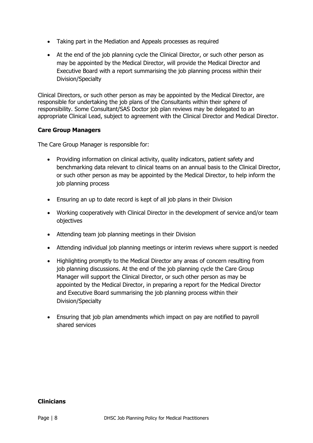- Taking part in the Mediation and Appeals processes as required
- At the end of the job planning cycle the Clinical Director, or such other person as may be appointed by the Medical Director, will provide the Medical Director and Executive Board with a report summarising the job planning process within their Division/Specialty

Clinical Directors, or such other person as may be appointed by the Medical Director, are responsible for undertaking the job plans of the Consultants within their sphere of responsibility. Some Consultant/SAS Doctor job plan reviews may be delegated to an appropriate Clinical Lead, subject to agreement with the Clinical Director and Medical Director.

#### **Care Group Managers**

The Care Group Manager is responsible for:

- Providing information on clinical activity, quality indicators, patient safety and benchmarking data relevant to clinical teams on an annual basis to the Clinical Director, or such other person as may be appointed by the Medical Director, to help inform the job planning process
- Ensuring an up to date record is kept of all job plans in their Division
- Working cooperatively with Clinical Director in the development of service and/or team objectives
- Attending team job planning meetings in their Division
- Attending individual job planning meetings or interim reviews where support is needed
- Highlighting promptly to the Medical Director any areas of concern resulting from job planning discussions. At the end of the job planning cycle the Care Group Manager will support the Clinical Director, or such other person as may be appointed by the Medical Director, in preparing a report for the Medical Director and Executive Board summarising the job planning process within their Division/Specialty
- Ensuring that job plan amendments which impact on pay are notified to payroll shared services

#### **Clinicians**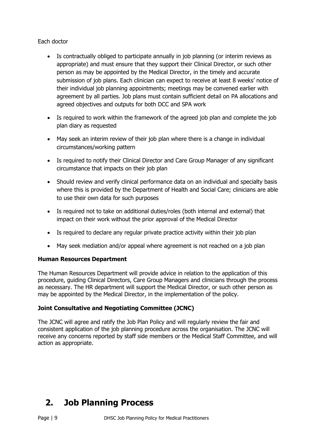#### Each doctor

- Is contractually obliged to participate annually in job planning (or interim reviews as appropriate) and must ensure that they support their Clinical Director, or such other person as may be appointed by the Medical Director, in the timely and accurate submission of job plans. Each clinician can expect to receive at least 8 weeks' notice of their individual job planning appointments; meetings may be convened earlier with agreement by all parties. Job plans must contain sufficient detail on PA allocations and agreed objectives and outputs for both DCC and SPA work
- Is required to work within the framework of the agreed job plan and complete the job plan diary as requested
- May seek an interim review of their job plan where there is a change in individual circumstances/working pattern
- Is required to notify their Clinical Director and Care Group Manager of any significant circumstance that impacts on their job plan
- Should review and verify clinical performance data on an individual and specialty basis where this is provided by the Department of Health and Social Care; clinicians are able to use their own data for such purposes
- Is required not to take on additional duties/roles (both internal and external) that impact on their work without the prior approval of the Medical Director
- Is required to declare any regular private practice activity within their job plan
- May seek mediation and/or appeal where agreement is not reached on a job plan

#### **Human Resources Department**

The Human Resources Department will provide advice in relation to the application of this procedure, guiding Clinical Directors, Care Group Managers and clinicians through the process as necessary. The HR department will support the Medical Director, or such other person as may be appointed by the Medical Director, in the implementation of the policy.

#### **Joint Consultative and Negotiating Committee (JCNC)**

The JCNC will agree and ratify the Job Plan Policy and will regularly review the fair and consistent application of the job planning procedure across the organisation. The JCNC will receive any concerns reported by staff side members or the Medical Staff Committee, and will action as appropriate.

### **2. Job Planning Process**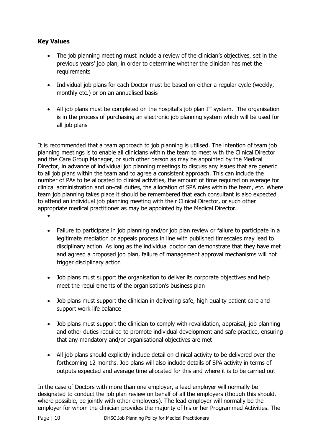#### **Key Values**

- The job planning meeting must include a review of the clinician's objectives, set in the previous years' job plan, in order to determine whether the clinician has met the requirements
- Individual job plans for each Doctor must be based on either a regular cycle (weekly, monthly etc.) or on an annualised basis
- All job plans must be completed on the hospital's job plan IT system. The organisation is in the process of purchasing an electronic job planning system which will be used for all job plans

It is recommended that a team approach to job planning is utilised. The intention of team job planning meetings is to enable all clinicians within the team to meet with the Clinical Director and the Care Group Manager, or such other person as may be appointed by the Medical Director, in advance of individual job planning meetings to discuss any issues that are generic to all job plans within the team and to agree a consistent approach. This can include the number of PAs to be allocated to clinical activities, the amount of time required on average for clinical administration and on-call duties, the allocation of SPA roles within the team, etc. Where team job planning takes place it should be remembered that each consultant is also expected to attend an individual job planning meeting with their Clinical Director, or such other appropriate medical practitioner as may be appointed by the Medical Director.

- $\bullet$
- Failure to participate in job planning and/or job plan review or failure to participate in a legitimate mediation or appeals process in line with published timescales may lead to disciplinary action. As long as the individual doctor can demonstrate that they have met and agreed a proposed job plan, failure of management approval mechanisms will not trigger disciplinary action
- Job plans must support the organisation to deliver its corporate objectives and help meet the requirements of the organisation's business plan
- Job plans must support the clinician in delivering safe, high quality patient care and support work life balance
- Job plans must support the clinician to comply with revalidation, appraisal, job planning and other duties required to promote individual development and safe practice, ensuring that any mandatory and/or organisational objectives are met
- All job plans should explicitly include detail on clinical activity to be delivered over the forthcoming 12 months. Job plans will also include details of SPA activity in terms of outputs expected and average time allocated for this and where it is to be carried out

In the case of Doctors with more than one employer, a lead employer will normally be designated to conduct the job plan review on behalf of all the employers (though this should, where possible, be jointly with other employers). The lead employer will normally be the employer for whom the clinician provides the majority of his or her Programmed Activities. The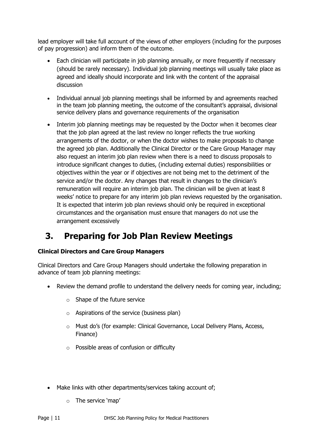lead employer will take full account of the views of other employers (including for the purposes of pay progression) and inform them of the outcome.

- Each clinician will participate in job planning annually, or more frequently if necessary (should be rarely necessary). Individual job planning meetings will usually take place as agreed and ideally should incorporate and link with the content of the appraisal discussion
- Individual annual job planning meetings shall be informed by and agreements reached in the team job planning meeting, the outcome of the consultant's appraisal, divisional service delivery plans and governance requirements of the organisation
- Interim job planning meetings may be requested by the Doctor when it becomes clear that the job plan agreed at the last review no longer reflects the true working arrangements of the doctor, or when the doctor wishes to make proposals to change the agreed job plan. Additionally the Clinical Director or the Care Group Manager may also request an interim job plan review when there is a need to discuss proposals to introduce significant changes to duties, (including external duties) responsibilities or objectives within the year or if objectives are not being met to the detriment of the service and/or the doctor. Any changes that result in changes to the clinician's remuneration will require an interim job plan. The clinician will be given at least 8 weeks' notice to prepare for any interim job plan reviews requested by the organisation. It is expected that interim job plan reviews should only be required in exceptional circumstances and the organisation must ensure that managers do not use the arrangement excessively

### **3. Preparing for Job Plan Review Meetings**

#### **Clinical Directors and Care Group Managers**

Clinical Directors and Care Group Managers should undertake the following preparation in advance of team job planning meetings:

- Review the demand profile to understand the delivery needs for coming year, including;
	- o Shape of the future service
	- $\circ$  Aspirations of the service (business plan)
	- o Must do's (for example: Clinical Governance, Local Delivery Plans, Access, Finance)
	- o Possible areas of confusion or difficulty
- Make links with other departments/services taking account of;
	- o The service 'map'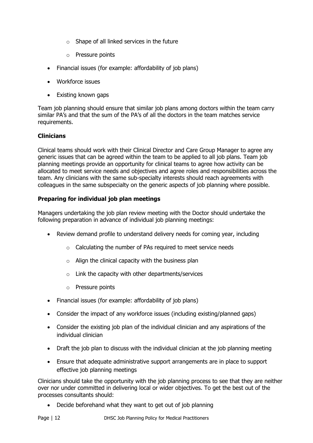- $\circ$  Shape of all linked services in the future
- o Pressure points
- Financial issues (for example: affordability of job plans)
- Workforce issues
- Existing known gaps

Team job planning should ensure that similar job plans among doctors within the team carry similar PA's and that the sum of the PA's of all the doctors in the team matches service requirements.

#### **Clinicians**

Clinical teams should work with their Clinical Director and Care Group Manager to agree any generic issues that can be agreed within the team to be applied to all job plans. Team job planning meetings provide an opportunity for clinical teams to agree how activity can be allocated to meet service needs and objectives and agree roles and responsibilities across the team. Any clinicians with the same sub-specialty interests should reach agreements with colleagues in the same subspecialty on the generic aspects of job planning where possible.

#### **Preparing for individual job plan meetings**

Managers undertaking the job plan review meeting with the Doctor should undertake the following preparation in advance of individual job planning meetings:

- Review demand profile to understand delivery needs for coming year, including
	- o Calculating the number of PAs required to meet service needs
	- $\circ$  Align the clinical capacity with the business plan
	- $\circ$  Link the capacity with other departments/services
	- o Pressure points
- Financial issues (for example: affordability of job plans)
- Consider the impact of any workforce issues (including existing/planned gaps)
- Consider the existing job plan of the individual clinician and any aspirations of the individual clinician
- Draft the job plan to discuss with the individual clinician at the job planning meeting
- Ensure that adequate administrative support arrangements are in place to support effective job planning meetings

Clinicians should take the opportunity with the job planning process to see that they are neither over nor under committed in delivering local or wider objectives. To get the best out of the processes consultants should:

• Decide beforehand what they want to get out of job planning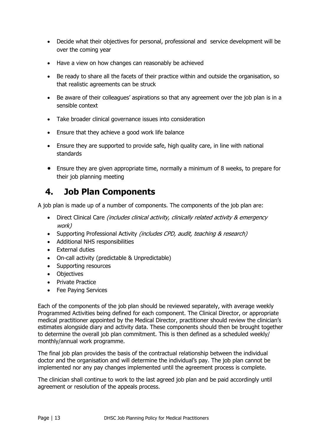- Decide what their objectives for personal, professional and service development will be over the coming year
- Have a view on how changes can reasonably be achieved
- Be ready to share all the facets of their practice within and outside the organisation, so that realistic agreements can be struck
- Be aware of their colleagues' aspirations so that any agreement over the job plan is in a sensible context
- Take broader clinical governance issues into consideration
- Ensure that they achieve a good work life balance
- Ensure they are supported to provide safe, high quality care, in line with national standards
- Ensure they are given appropriate time, normally a minimum of 8 weeks, to prepare for their job planning meeting

### **4. Job Plan Components**

A job plan is made up of a number of components. The components of the job plan are:

- Direct Clinical Care (includes clinical activity, clinically related activity & emergency work)
- Supporting Professional Activity (includes CPD, audit, teaching & research)
- Additional NHS responsibilities
- External duties
- On-call activity (predictable & Unpredictable)
- Supporting resources
- Objectives
- Private Practice
- Fee Paying Services

Each of the components of the job plan should be reviewed separately, with average weekly Programmed Activities being defined for each component. The Clinical Director, or appropriate medical practitioner appointed by the Medical Director, practitioner should review the clinician's estimates alongside diary and activity data. These components should then be brought together to determine the overall job plan commitment. This is then defined as a scheduled weekly/ monthly/annual work programme.

The final job plan provides the basis of the contractual relationship between the individual doctor and the organisation and will determine the individual's pay. The job plan cannot be implemented nor any pay changes implemented until the agreement process is complete.

The clinician shall continue to work to the last agreed job plan and be paid accordingly until agreement or resolution of the appeals process.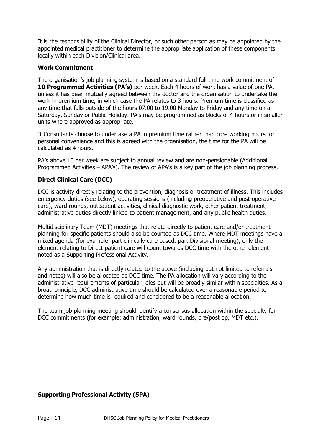It is the responsibility of the Clinical Director, or such other person as may be appointed by the appointed medical practitioner to determine the appropriate application of these components locally within each Division/Clinical area.

#### **Work Commitment**

The organisation's job planning system is based on a standard full time work commitment of **10 Programmed Activities (PA's)** per week. Each 4 hours of work has a value of one PA, unless it has been mutually agreed between the doctor and the organisation to undertake the work in premium time, in which case the PA relates to 3 hours. Premium time is classified as any time that falls outside of the hours 07.00 to 19.00 Monday to Friday and any time on a Saturday, Sunday or Public Holiday. PA's may be programmed as blocks of 4 hours or in smaller units where approved as appropriate.

If Consultants choose to undertake a PA in premium time rather than core working hours for personal convenience and this is agreed with the organisation, the time for the PA will be calculated as 4 hours.

PA's above 10 per week are subject to annual review and are non-pensionable (Additional Programmed Activities – APA's). The review of APA's is a key part of the job planning process.

#### **Direct Clinical Care (DCC)**

DCC is activity directly relating to the prevention, diagnosis or treatment of illness. This includes emergency duties (see below), operating sessions (including preoperative and post-operative care), ward rounds, outpatient activities, clinical diagnostic work, other patient treatment, administrative duties directly linked to patient management, and any public health duties.

Multidisciplinary Team (MDT) meetings that relate directly to patient care and/or treatment planning for specific patients should also be counted as DCC time. Where MDT meetings have a mixed agenda (for example: part clinically care based, part Divisional meeting), only the element relating to Direct patient care will count towards DCC time with the other element noted as a Supporting Professional Activity.

Any administration that is directly related to the above (including but not limited to referrals and notes) will also be allocated as DCC time. The PA allocation will vary according to the administrative requirements of particular roles but will be broadly similar within specialties. As a broad principle, DCC administrative time should be calculated over a reasonable period to determine how much time is required and considered to be a reasonable allocation.

The team job planning meeting should identify a consensus allocation within the specialty for DCC commitments (for example: administration, ward rounds, pre/post op, MDT etc.).

#### **Supporting Professional Activity (SPA)**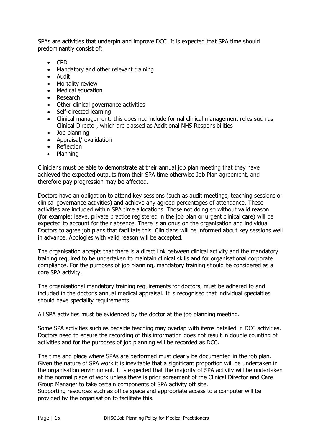SPAs are activities that underpin and improve DCC. It is expected that SPA time should predominantly consist of:

- $\bullet$  CPD
- Mandatory and other relevant training
- Audit
- Mortality review
- Medical education
- Research
- Other clinical governance activities
- Self-directed learning
- Clinical management: this does not include formal clinical management roles such as Clinical Director, which are classed as Additional NHS Responsibilities
- Job planning
- Appraisal/revalidation
- Reflection
- Planning

Clinicians must be able to demonstrate at their annual job plan meeting that they have achieved the expected outputs from their SPA time otherwise Job Plan agreement, and therefore pay progression may be affected.

Doctors have an obligation to attend key sessions (such as audit meetings, teaching sessions or clinical governance activities) and achieve any agreed percentages of attendance. These activities are included within SPA time allocations. Those not doing so without valid reason (for example: leave, private practice registered in the job plan or urgent clinical care) will be expected to account for their absence. There is an onus on the organisation and individual Doctors to agree job plans that facilitate this. Clinicians will be informed about key sessions well in advance. Apologies with valid reason will be accepted.

The organisation accepts that there is a direct link between clinical activity and the mandatory training required to be undertaken to maintain clinical skills and for organisational corporate compliance. For the purposes of job planning, mandatory training should be considered as a core SPA activity.

The organisational mandatory training requirements for doctors, must be adhered to and included in the doctor's annual medical appraisal. It is recognised that individual specialties should have speciality requirements.

All SPA activities must be evidenced by the doctor at the job planning meeting.

Some SPA activities such as bedside teaching may overlap with items detailed in DCC activities. Doctors need to ensure the recording of this information does not result in double counting of activities and for the purposes of job planning will be recorded as DCC.

The time and place where SPAs are performed must clearly be documented in the job plan. Given the nature of SPA work it is inevitable that a significant proportion will be undertaken in the organisation environment. It is expected that the majority of SPA activity will be undertaken at the normal place of work unless there is prior agreement of the Clinical Director and Care Group Manager to take certain components of SPA activity off site.

Supporting resources such as office space and appropriate access to a computer will be provided by the organisation to facilitate this.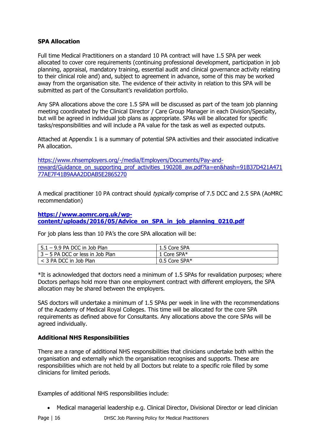#### **SPA Allocation**

Full time Medical Practitioners on a standard 10 PA contract will have 1.5 SPA per week allocated to cover core requirements (continuing professional development, participation in job planning, appraisal, mandatory training, essential audit and clinical governance activity relating to their clinical role and) and, subject to agreement in advance, some of this may be worked away from the organisation site. The evidence of their activity in relation to this SPA will be submitted as part of the Consultant's revalidation portfolio.

Any SPA allocations above the core 1.5 SPA will be discussed as part of the team job planning meeting coordinated by the Clinical Director / Care Group Manager in each Division/Specialty, but will be agreed in individual job plans as appropriate. SPAs will be allocated for specific tasks/responsibilities and will include a PA value for the task as well as expected outputs.

Attached at Appendix 1 is a summary of potential SPA activities and their associated indicative PA allocation.

[https://www.nhsemployers.org/-/media/Employers/Documents/Pay-and](https://www.nhsemployers.org/-/media/Employers/Documents/Pay-and-reward/Guidance_on_supporting_prof_activities_190208_aw.pdf?la=en&hash=91B37D421A47177AE7F41B9AAA2DDAB5E2865270)[reward/Guidance\\_on\\_supporting\\_prof\\_activities\\_190208\\_aw.pdf?la=en&hash=91B37D421A471](https://www.nhsemployers.org/-/media/Employers/Documents/Pay-and-reward/Guidance_on_supporting_prof_activities_190208_aw.pdf?la=en&hash=91B37D421A47177AE7F41B9AAA2DDAB5E2865270) [77AE7F41B9AAA2DDAB5E2865270](https://www.nhsemployers.org/-/media/Employers/Documents/Pay-and-reward/Guidance_on_supporting_prof_activities_190208_aw.pdf?la=en&hash=91B37D421A47177AE7F41B9AAA2DDAB5E2865270)

A medical practitioner 10 PA contract should typically comprise of 7.5 DCC and 2.5 SPA (AoMRC recommendation)

#### **[https://www.aomrc.org.uk/wp](https://www.aomrc.org.uk/wp-content/uploads/2016/05/Advice_on_SPA_in_job_planning_0210.pdf)[content/uploads/2016/05/Advice\\_on\\_SPA\\_in\\_job\\_planning\\_0210.pdf](https://www.aomrc.org.uk/wp-content/uploads/2016/05/Advice_on_SPA_in_job_planning_0210.pdf)**

For job plans less than 10 PA's the core SPA allocation will be:

| $5.1 - 9.9$ PA DCC in Job Plan     | 1.5 Core SPA  |
|------------------------------------|---------------|
| $3 - 5$ PA DCC or less in Job Plan | 1 Core SPA*   |
| $\sim$ 3 PA DCC in Job Plan        | 0.5 Core SPA* |

\*It is acknowledged that doctors need a minimum of 1.5 SPAs for revalidation purposes; where Doctors perhaps hold more than one employment contract with different employers, the SPA allocation may be shared between the employers.

SAS doctors will undertake a minimum of 1.5 SPAs per week in line with the recommendations of the Academy of Medical Royal Colleges. This time will be allocated for the core SPA requirements as defined above for Consultants. Any allocations above the core SPAs will be agreed individually.

#### **Additional NHS Responsibilities**

There are a range of additional NHS responsibilities that clinicians undertake both within the organisation and externally which the organisation recognises and supports. These are responsibilities which are not held by all Doctors but relate to a specific role filled by some clinicians for limited periods.

Examples of additional NHS responsibilities include:

Medical managerial leadership e.g. Clinical Director, Divisional Director or lead clinician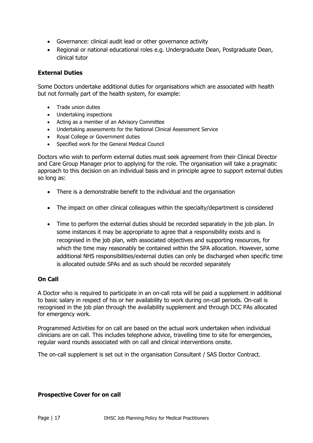- Governance: clinical audit lead or other governance activity
- Regional or national educational roles e.g. Undergraduate Dean, Postgraduate Dean, clinical tutor

#### **External Duties**

Some Doctors undertake additional duties for organisations which are associated with health but not formally part of the health system, for example:

- Trade union duties
- Undertaking inspections
- Acting as a member of an Advisory Committee
- Undertaking assessments for the National Clinical Assessment Service
- Royal College or Government duties
- Specified work for the General Medical Council

Doctors who wish to perform external duties must seek agreement from their Clinical Director and Care Group Manager prior to applying for the role. The organisation will take a pragmatic approach to this decision on an individual basis and in principle agree to support external duties so long as:

- There is a demonstrable benefit to the individual and the organisation
- The impact on other clinical colleagues within the specialty/department is considered
- Time to perform the external duties should be recorded separately in the job plan. In some instances it may be appropriate to agree that a responsibility exists and is recognised in the job plan, with associated objectives and supporting resources, for which the time may reasonably be contained within the SPA allocation. However, some additional NHS responsibilities/external duties can only be discharged when specific time is allocated outside SPAs and as such should be recorded separately

#### **On Call**

A Doctor who is required to participate in an on-call rota will be paid a supplement in additional to basic salary in respect of his or her availability to work during on-call periods. On-call is recognised in the job plan through the availability supplement and through DCC PAs allocated for emergency work.

Programmed Activities for on call are based on the actual work undertaken when individual clinicians are on call. This includes telephone advice, travelling time to site for emergencies, regular ward rounds associated with on call and clinical interventions onsite.

The on-call supplement is set out in the organisation Consultant / SAS Doctor Contract.

#### **Prospective Cover for on call**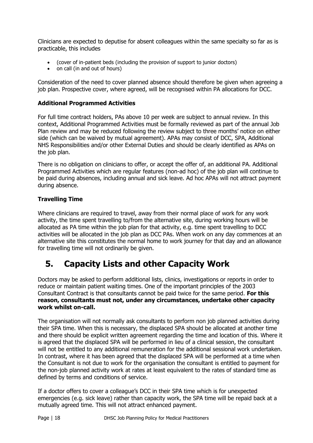Clinicians are expected to deputise for absent colleagues within the same specialty so far as is practicable, this includes

- (cover of in-patient beds (including the provision of support to junior doctors)
- on call (in and out of hours)

Consideration of the need to cover planned absence should therefore be given when agreeing a job plan. Prospective cover, where agreed, will be recognised within PA allocations for DCC.

#### **Additional Programmed Activities**

For full time contract holders, PAs above 10 per week are subject to annual review. In this context, Additional Programmed Activities must be formally reviewed as part of the annual Job Plan review and may be reduced following the review subject to three months' notice on either side (which can be waived by mutual agreement). APAs may consist of DCC, SPA, Additional NHS Responsibilities and/or other External Duties and should be clearly identified as APAs on the job plan.

There is no obligation on clinicians to offer, or accept the offer of, an additional PA. Additional Programmed Activities which are regular features (non-ad hoc) of the job plan will continue to be paid during absences, including annual and sick leave. Ad hoc APAs will not attract payment during absence.

#### **Travelling Time**

Where clinicians are required to travel, away from their normal place of work for any work activity, the time spent travelling to/from the alternative site, during working hours will be allocated as PA time within the job plan for that activity, e.g. time spent travelling to DCC activities will be allocated in the job plan as DCC PAs. When work on any day commences at an alternative site this constitutes the normal home to work journey for that day and an allowance for travelling time will not ordinarily be given.

### **5. Capacity Lists and other Capacity Work**

Doctors may be asked to perform additional lists, clinics, investigations or reports in order to reduce or maintain patient waiting times. One of the important principles of the 2003 Consultant Contract is that consultants cannot be paid twice for the same period. **For this reason, consultants must not, under any circumstances, undertake other capacity work whilst on-call.**

The organisation will not normally ask consultants to perform non job planned activities during their SPA time. When this is necessary, the displaced SPA should be allocated at another time and there should be explicit written agreement regarding the time and location of this. Where it is agreed that the displaced SPA will be performed in lieu of a clinical session, the consultant will not be entitled to any additional remuneration for the additional sessional work undertaken. In contrast, where it has been agreed that the displaced SPA will be performed at a time when the Consultant is not due to work for the organisation the consultant is entitled to payment for the non-job planned activity work at rates at least equivalent to the rates of standard time as defined by terms and conditions of service.

If a doctor offers to cover a colleague's DCC in their SPA time which is for unexpected emergencies (e.g. sick leave) rather than capacity work, the SPA time will be repaid back at a mutually agreed time. This will not attract enhanced payment.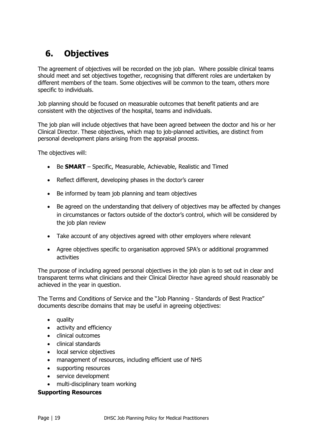# **6. Objectives**

The agreement of objectives will be recorded on the job plan. Where possible clinical teams should meet and set objectives together, recognising that different roles are undertaken by different members of the team. Some objectives will be common to the team, others more specific to individuals.

Job planning should be focused on measurable outcomes that benefit patients and are consistent with the objectives of the hospital, teams and individuals.

The job plan will include objectives that have been agreed between the doctor and his or her Clinical Director. These objectives, which map to job-planned activities, are distinct from personal development plans arising from the appraisal process.

The objectives will:

- Be **SMART** Specific, Measurable, Achievable, Realistic and Timed
- Reflect different, developing phases in the doctor's career
- Be informed by team job planning and team objectives
- Be agreed on the understanding that delivery of objectives may be affected by changes in circumstances or factors outside of the doctor's control, which will be considered by the job plan review
- Take account of any objectives agreed with other employers where relevant
- Agree objectives specific to organisation approved SPA's or additional programmed activities

The purpose of including agreed personal objectives in the job plan is to set out in clear and transparent terms what clinicians and their Clinical Director have agreed should reasonably be achieved in the year in question.

The Terms and Conditions of Service and the "Job Planning - Standards of Best Practice" documents describe domains that may be useful in agreeing objectives:

- quality
- activity and efficiency
- clinical outcomes
- clinical standards
- local service objectives
- management of resources, including efficient use of NHS
- supporting resources
- service development
- multi-disciplinary team working

#### **Supporting Resources**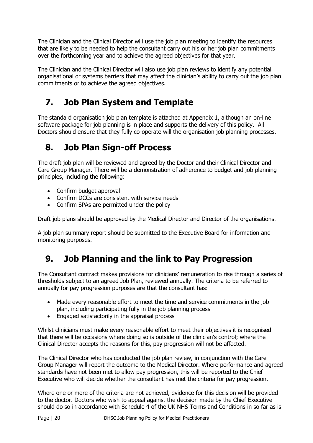The Clinician and the Clinical Director will use the job plan meeting to identify the resources that are likely to be needed to help the consultant carry out his or her job plan commitments over the forthcoming year and to achieve the agreed objectives for that year.

The Clinician and the Clinical Director will also use job plan reviews to identify any potential organisational or systems barriers that may affect the clinician's ability to carry out the job plan commitments or to achieve the agreed objectives.

# **7. Job Plan System and Template**

The standard organisation job plan template is attached at Appendix 1, although an on-line software package for job planning is in place and supports the delivery of this policy. All Doctors should ensure that they fully co-operate will the organisation job planning processes.

# **8. Job Plan Sign-off Process**

The draft job plan will be reviewed and agreed by the Doctor and their Clinical Director and Care Group Manager. There will be a demonstration of adherence to budget and job planning principles, including the following:

- Confirm budget approval
- Confirm DCCs are consistent with service needs
- Confirm SPAs are permitted under the policy

Draft job plans should be approved by the Medical Director and Director of the organisations.

A job plan summary report should be submitted to the Executive Board for information and monitoring purposes.

### **9. Job Planning and the link to Pay Progression**

The Consultant contract makes provisions for clinicians' remuneration to rise through a series of thresholds subject to an agreed Job Plan, reviewed annually. The criteria to be referred to annually for pay progression purposes are that the consultant has:

- Made every reasonable effort to meet the time and service commitments in the job plan, including participating fully in the job planning process
- Engaged satisfactorily in the appraisal process

Whilst clinicians must make every reasonable effort to meet their objectives it is recognised that there will be occasions where doing so is outside of the clinician's control; where the Clinical Director accepts the reasons for this, pay progression will not be affected.

The Clinical Director who has conducted the job plan review, in conjunction with the Care Group Manager will report the outcome to the Medical Director. Where performance and agreed standards have not been met to allow pay progression, this will be reported to the Chief Executive who will decide whether the consultant has met the criteria for pay progression.

Where one or more of the criteria are not achieved, evidence for this decision will be provided to the doctor. Doctors who wish to appeal against the decision made by the Chief Executive should do so in accordance with Schedule 4 of the UK NHS Terms and Conditions in so far as is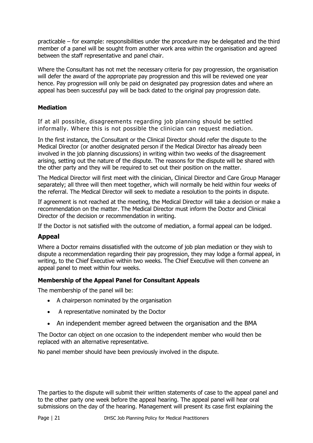practicable – for example: responsibilities under the procedure may be delegated and the third member of a panel will be sought from another work area within the organisation and agreed between the staff representative and panel chair.

Where the Consultant has not met the necessary criteria for pay progression, the organisation will defer the award of the appropriate pay progression and this will be reviewed one year hence. Pay progression will only be paid on designated pay progression dates and where an appeal has been successful pay will be back dated to the original pay progression date.

#### **Mediation**

If at all possible, disagreements regarding job planning should be settled informally. Where this is not possible the clinician can request mediation.

In the first instance, the Consultant or the Clinical Director should refer the dispute to the Medical Director (or another designated person if the Medical Director has already been involved in the job planning discussions) in writing within two weeks of the disagreement arising, setting out the nature of the dispute. The reasons for the dispute will be shared with the other party and they will be required to set out their position on the matter.

The Medical Director will first meet with the clinician, Clinical Director and Care Group Manager separately; all three will then meet together, which will normally be held within four weeks of the referral. The Medical Director will seek to mediate a resolution to the points in dispute.

If agreement is not reached at the meeting, the Medical Director will take a decision or make a recommendation on the matter. The Medical Director must inform the Doctor and Clinical Director of the decision or recommendation in writing.

If the Doctor is not satisfied with the outcome of mediation, a formal appeal can be lodged.

#### **Appeal**

Where a Doctor remains dissatisfied with the outcome of job plan mediation or they wish to dispute a recommendation regarding their pay progression, they may lodge a formal appeal, in writing, to the Chief Executive within two weeks. The Chief Executive will then convene an appeal panel to meet within four weeks.

#### **Membership of the Appeal Panel for Consultant Appeals**

The membership of the panel will be:

- A chairperson nominated by the organisation
- A representative nominated by the Doctor
- An independent member agreed between the organisation and the BMA

The Doctor can object on one occasion to the independent member who would then be replaced with an alternative representative.

No panel member should have been previously involved in the dispute.

The parties to the dispute will submit their written statements of case to the appeal panel and to the other party one week before the appeal hearing. The appeal panel will hear oral submissions on the day of the hearing. Management will present its case first explaining the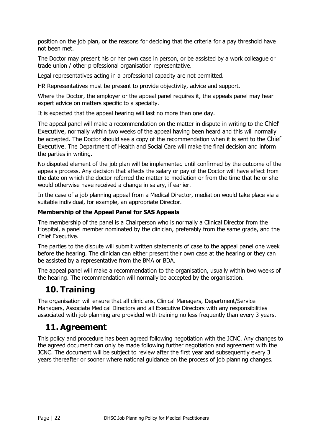position on the job plan, or the reasons for deciding that the criteria for a pay threshold have not been met.

The Doctor may present his or her own case in person, or be assisted by a work colleague or trade union / other professional organisation representative.

Legal representatives acting in a professional capacity are not permitted.

HR Representatives must be present to provide objectivity, advice and support.

Where the Doctor, the employer or the appeal panel requires it, the appeals panel may hear expert advice on matters specific to a specialty.

It is expected that the appeal hearing will last no more than one day.

The appeal panel will make a recommendation on the matter in dispute in writing to the Chief Executive, normally within two weeks of the appeal having been heard and this will normally be accepted. The Doctor should see a copy of the recommendation when it is sent to the Chief Executive. The Department of Health and Social Care will make the final decision and inform the parties in writing.

No disputed element of the job plan will be implemented until confirmed by the outcome of the appeals process. Any decision that affects the salary or pay of the Doctor will have effect from the date on which the doctor referred the matter to mediation or from the time that he or she would otherwise have received a change in salary, if earlier.

In the case of a job planning appeal from a Medical Director, mediation would take place via a suitable individual, for example, an appropriate Director.

#### **Membership of the Appeal Panel for SAS Appeals**

The membership of the panel is a Chairperson who is normally a Clinical Director from the Hospital, a panel member nominated by the clinician, preferably from the same grade, and the Chief Executive.

The parties to the dispute will submit written statements of case to the appeal panel one week before the hearing. The clinician can either present their own case at the hearing or they can be assisted by a representative from the BMA or BDA.

The appeal panel will make a recommendation to the organisation, usually within two weeks of the hearing. The recommendation will normally be accepted by the organisation.

### **10. Training**

The organisation will ensure that all clinicians, Clinical Managers, Department/Service Managers, Associate Medical Directors and all Executive Directors with any responsibilities associated with job planning are provided with training no less frequently than every 3 years.

### **11. Agreement**

This policy and procedure has been agreed following negotiation with the JCNC. Any changes to the agreed document can only be made following further negotiation and agreement with the JCNC. The document will be subject to review after the first year and subsequently every 3 years thereafter or sooner where national guidance on the process of job planning changes.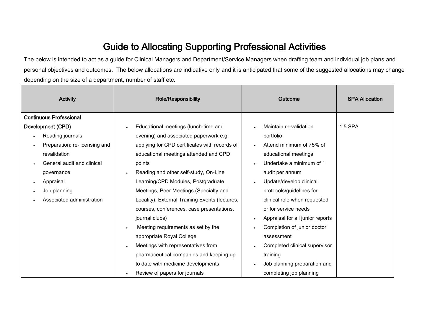# Guide to Allocating Supporting Professional Activities

The below is intended to act as a guide for Clinical Managers and Department/Service Managers when drafting team and individual job plans and personal objectives and outcomes. The below allocations are indicative only and it is anticipated that some of the suggested allocations may change depending on the size of a department, number of staff etc.

| <b>Activity</b>                            | <b>Role/Responsibility</b>                     | Outcome                                    | <b>SPA Allocation</b> |
|--------------------------------------------|------------------------------------------------|--------------------------------------------|-----------------------|
| <b>Continuous Professional</b>             |                                                |                                            |                       |
| Development (CPD)                          | Educational meetings (lunch-time and           | Maintain re-validation                     | 1.5 SPA               |
| Reading journals<br>$\bullet$              | evening) and associated paperwork e.g.         | portfolio                                  |                       |
| Preparation: re-licensing and<br>$\bullet$ | applying for CPD certificates with records of  | Attend minimum of 75% of                   |                       |
| revalidation                               | educational meetings attended and CPD          | educational meetings                       |                       |
| General audit and clinical<br>$\bullet$    | points                                         | Undertake a minimum of 1                   |                       |
| governance                                 | Reading and other self-study, On-Line          | audit per annum                            |                       |
| Appraisal<br>$\bullet$                     | Learning/CPD Modules, Postgraduate             | Update/develop clinical<br>$\bullet$       |                       |
| Job planning                               | Meetings, Peer Meetings (Specialty and         | protocols/guidelines for                   |                       |
| Associated administration                  | Locality), External Training Events (lectures, | clinical role when requested               |                       |
|                                            | courses, conferences, case presentations,      | or for service needs                       |                       |
|                                            | journal clubs)                                 | Appraisal for all junior reports           |                       |
|                                            | Meeting requirements as set by the             | Completion of junior doctor                |                       |
|                                            | appropriate Royal College                      | assessment                                 |                       |
|                                            | Meetings with representatives from             | Completed clinical supervisor<br>$\bullet$ |                       |
|                                            | pharmaceutical companies and keeping up        | training                                   |                       |
|                                            | to date with medicine developments             | Job planning preparation and               |                       |
|                                            | Review of papers for journals                  | completing job planning                    |                       |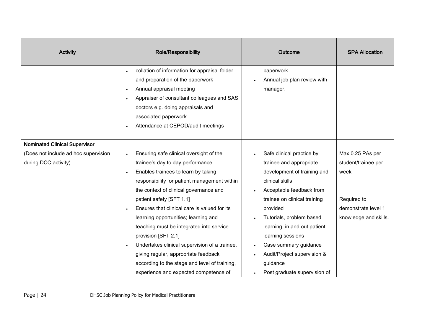| <b>Activity</b>                                              | <b>Role/Responsibility</b>                                                                                                                                                                                                                                                                                                                                                                                                                                                                                                                                                              | Outcome                                                                                                                                                                                                                                                                                                                                                             | <b>SPA Allocation</b>                                                                                          |
|--------------------------------------------------------------|-----------------------------------------------------------------------------------------------------------------------------------------------------------------------------------------------------------------------------------------------------------------------------------------------------------------------------------------------------------------------------------------------------------------------------------------------------------------------------------------------------------------------------------------------------------------------------------------|---------------------------------------------------------------------------------------------------------------------------------------------------------------------------------------------------------------------------------------------------------------------------------------------------------------------------------------------------------------------|----------------------------------------------------------------------------------------------------------------|
|                                                              | collation of information for appraisal folder<br>and preparation of the paperwork<br>Annual appraisal meeting<br>Appraiser of consultant colleagues and SAS<br>doctors e.g. doing appraisals and<br>associated paperwork<br>Attendance at CEPOD/audit meetings                                                                                                                                                                                                                                                                                                                          | paperwork.<br>Annual job plan review with<br>manager.                                                                                                                                                                                                                                                                                                               |                                                                                                                |
| <b>Nominated Clinical Supervisor</b>                         |                                                                                                                                                                                                                                                                                                                                                                                                                                                                                                                                                                                         |                                                                                                                                                                                                                                                                                                                                                                     |                                                                                                                |
| (Does not include ad hoc supervision<br>during DCC activity) | Ensuring safe clinical oversight of the<br>trainee's day to day performance.<br>Enables trainees to learn by taking<br>responsibility for patient management within<br>the context of clinical governance and<br>patient safety [SFT 1.1]<br>Ensures that clinical care is valued for its<br>learning opportunities; learning and<br>teaching must be integrated into service<br>provision [SFT 2.1]<br>Undertakes clinical supervision of a trainee,<br>giving regular, appropriate feedback<br>according to the stage and level of training,<br>experience and expected competence of | Safe clinical practice by<br>trainee and appropriate<br>development of training and<br>clinical skills<br>Acceptable feedback from<br>trainee on clinical training<br>provided<br>Tutorials, problem based<br>learning, in and out patient<br>learning sessions<br>Case summary guidance<br>Audit/Project supervision &<br>guidance<br>Post graduate supervision of | Max 0.25 PAs per<br>student/trainee per<br>week<br>Required to<br>demonstrate level 1<br>knowledge and skills. |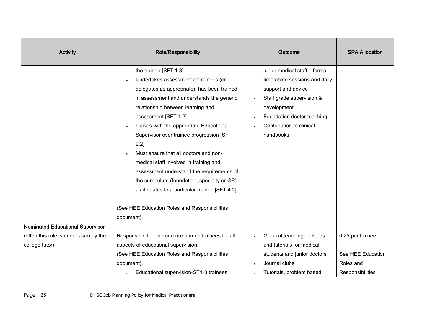| <b>Activity</b>                         | <b>Role/Responsibility</b>                         | Outcome                       | <b>SPA Allocation</b> |
|-----------------------------------------|----------------------------------------------------|-------------------------------|-----------------------|
|                                         | the trainee [SFT 1.3]                              | junior medical staff - formal |                       |
|                                         | Undertakes assessment of trainees (or              | timetabled sessions and daily |                       |
|                                         | delegates as appropriate), has been trained        | support and advice            |                       |
|                                         | in assessment and understands the generic          | Staff grade supervision &     |                       |
|                                         | relationship between learning and                  | development                   |                       |
|                                         | assessment [SFT 1.2]                               | Foundation doctor teaching    |                       |
|                                         | Liaises with the appropriate Educational           | Contribution to clinical      |                       |
|                                         | Supervisor over trainee progression [SFT           | handbooks                     |                       |
|                                         | 2.2]                                               |                               |                       |
|                                         | Must ensure that all doctors and non-              |                               |                       |
|                                         | medical staff involved in training and             |                               |                       |
|                                         | assessment understand the requirements of          |                               |                       |
|                                         | the curriculum (foundation, specialty or GP)       |                               |                       |
|                                         | as it relates to a particular trainee [SFT 4.2]    |                               |                       |
|                                         |                                                    |                               |                       |
|                                         | (See HEE Education Roles and Responsibilities      |                               |                       |
|                                         | document).                                         |                               |                       |
| <b>Nominated Educational Supervisor</b> |                                                    |                               |                       |
| (often this role is undertaken by the   | Responsible for one or more named trainees for all | General teaching, lectures    | 0.25 per trainee      |
| college tutor)                          | aspects of educational supervision.                | and tutorials for medical     |                       |
|                                         | (See HEE Education Roles and Responsibilities      | students and junior doctors   | See HEE Education     |
|                                         | document).                                         | Journal clubs                 | Roles and             |
|                                         | Educational supervision-ST1-3 trainees             | Tutorials, problem based      | Responsibilities      |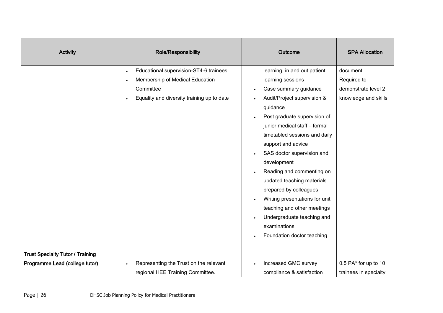| <b>Activity</b>                                                           | <b>Role/Responsibility</b>                                                                                                                                     | Outcome                                                                                                                                                                                                                                                                                                                                                                         | <b>SPA Allocation</b>                                                  |
|---------------------------------------------------------------------------|----------------------------------------------------------------------------------------------------------------------------------------------------------------|---------------------------------------------------------------------------------------------------------------------------------------------------------------------------------------------------------------------------------------------------------------------------------------------------------------------------------------------------------------------------------|------------------------------------------------------------------------|
|                                                                           | Educational supervision-ST4-6 trainees<br>$\bullet$<br>Membership of Medical Education<br>Committee<br>Equality and diversity training up to date<br>$\bullet$ | learning, in and out patient<br>learning sessions<br>Case summary guidance<br>Audit/Project supervision &<br>guidance<br>Post graduate supervision of<br>junior medical staff - formal<br>timetabled sessions and daily<br>support and advice<br>SAS doctor supervision and<br>development<br>Reading and commenting on<br>updated teaching materials<br>prepared by colleagues | document<br>Required to<br>demonstrate level 2<br>knowledge and skills |
|                                                                           |                                                                                                                                                                | Writing presentations for unit<br>teaching and other meetings<br>Undergraduate teaching and<br>examinations<br>Foundation doctor teaching                                                                                                                                                                                                                                       |                                                                        |
| <b>Trust Specialty Tutor / Training</b><br>Programme Lead (college tutor) | Representing the Trust on the relevant<br>regional HEE Training Committee.                                                                                     | Increased GMC survey<br>compliance & satisfaction                                                                                                                                                                                                                                                                                                                               | $0.5$ PA $*$ for up to 10<br>trainees in specialty                     |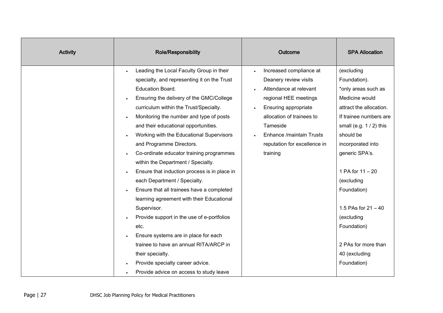| <b>Activity</b> | Role/Responsibility                          | Outcome                      | <b>SPA Allocation</b>    |
|-----------------|----------------------------------------------|------------------------------|--------------------------|
|                 | Leading the Local Faculty Group in their     | Increased compliance at      | (excluding               |
|                 | specialty, and representing it on the Trust  | Deanery review visits        | Foundation).             |
|                 | Education Board.                             | Attendance at relevant       | *only areas such as      |
|                 | Ensuring the delivery of the GMC/College     | regional HEE meetings        | Medicine would           |
|                 | curriculum within the Trust/Specialty.       | Ensuring appropriate         | attract the allocation.  |
|                 | Monitoring the number and type of posts      | allocation of trainees to    | If trainee numbers are   |
|                 | and their educational opportunities.         | Tameside                     | small (e.g. $1/2$ ) this |
|                 | Working with the Educational Supervisors     | Enhance /maintain Trusts     | should be                |
|                 | and Programme Directors.                     | reputation for excellence in | incorporated into        |
|                 | Co-ordinate educator training programmes     | training                     | generic SPA's.           |
|                 | within the Department / Specialty.           |                              |                          |
|                 | Ensure that induction process is in place in |                              | 1 PA for 11 - 20         |
|                 | each Department / Specialty.                 |                              | (excluding               |
|                 | Ensure that all trainees have a completed    |                              | Foundation)              |
|                 | learning agreement with their Educational    |                              |                          |
|                 | Supervisor.                                  |                              | 1.5 PAs for $21 - 40$    |
|                 | Provide support in the use of e-portfolios   |                              | (excluding               |
|                 | etc.                                         |                              | Foundation)              |
|                 | Ensure systems are in place for each         |                              |                          |
|                 | trainee to have an annual RITA/ARCP in       |                              | 2 PAs for more than      |
|                 | their specialty.                             |                              | 40 (excluding            |
|                 | Provide specialty career advice.             |                              | Foundation)              |
|                 | Provide advice on access to study leave      |                              |                          |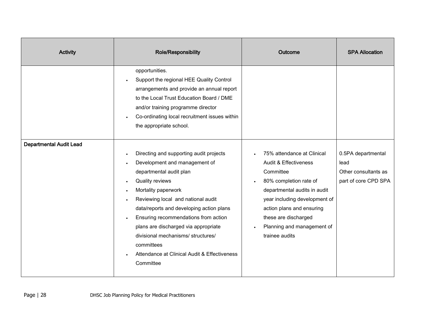| <b>Activity</b>                | Role/Responsibility                                                                                                                                                                                                                                                                                                                                                                                                                           | Outcome                                                                                                                                                                                                                                                                     | <b>SPA Allocation</b>                                                      |
|--------------------------------|-----------------------------------------------------------------------------------------------------------------------------------------------------------------------------------------------------------------------------------------------------------------------------------------------------------------------------------------------------------------------------------------------------------------------------------------------|-----------------------------------------------------------------------------------------------------------------------------------------------------------------------------------------------------------------------------------------------------------------------------|----------------------------------------------------------------------------|
|                                | opportunities.<br>Support the regional HEE Quality Control<br>arrangements and provide an annual report<br>to the Local Trust Education Board / DME<br>and/or training programme director<br>Co-ordinating local recruitment issues within<br>the appropriate school.                                                                                                                                                                         |                                                                                                                                                                                                                                                                             |                                                                            |
| <b>Departmental Audit Lead</b> | Directing and supporting audit projects<br>$\bullet$<br>Development and management of<br>departmental audit plan<br>Quality reviews<br>Mortality paperwork<br>Reviewing local and national audit<br>data/reports and developing action plans<br>Ensuring recommendations from action<br>plans are discharged via appropriate<br>divisional mechanisms/ structures/<br>committees<br>Attendance at Clinical Audit & Effectiveness<br>Committee | 75% attendance at Clinical<br><b>Audit &amp; Effectiveness</b><br>Committee<br>80% completion rate of<br>departmental audits in audit<br>year including development of<br>action plans and ensuring<br>these are discharged<br>Planning and management of<br>trainee audits | 0.5PA departmental<br>lead<br>Other consultants as<br>part of core CPD SPA |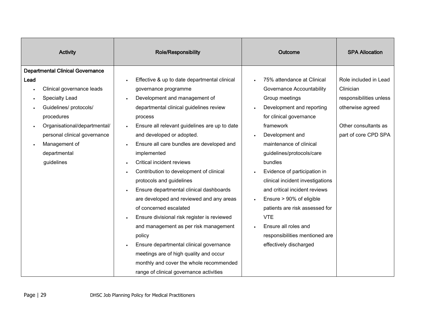| <b>Activity</b> |                                         | Role/Responsibility                           | Outcome                          | <b>SPA Allocation</b>   |
|-----------------|-----------------------------------------|-----------------------------------------------|----------------------------------|-------------------------|
|                 | <b>Departmental Clinical Governance</b> |                                               |                                  |                         |
| Lead            |                                         | Effective & up to date departmental clinical  | 75% attendance at Clinical       | Role included in Lead   |
|                 | Clinical governance leads               | governance programme                          | Governance Accountability        | Clinician               |
|                 | <b>Specialty Lead</b>                   | Development and management of                 | Group meetings                   | responsibilities unless |
|                 | Guidelines/ protocols/                  | departmental clinical guidelines review       | Development and reporting        | otherwise agreed        |
|                 | procedures                              | process                                       | for clinical governance          |                         |
|                 | Organisational/departmental/            | Ensure all relevant guidelines are up to date | framework                        | Other consultants as    |
|                 | personal clinical governance            | and developed or adopted.                     | Development and                  | part of core CPD SPA    |
|                 | Management of                           | Ensure all care bundles are developed and     | maintenance of clinical          |                         |
|                 | departmental                            | implemented                                   | guidelines/protocols/care        |                         |
|                 | guidelines                              | Critical incident reviews                     | bundles                          |                         |
|                 |                                         | Contribution to development of clinical       | Evidence of participation in     |                         |
|                 |                                         | protocols and guidelines                      | clinical incident investigations |                         |
|                 |                                         | Ensure departmental clinical dashboards       | and critical incident reviews    |                         |
|                 |                                         | are developed and reviewed and any areas      | Ensure > 90% of eligible         |                         |
|                 |                                         | of concerned escalated                        | patients are risk assessed for   |                         |
|                 |                                         | Ensure divisional risk register is reviewed   | <b>VTE</b>                       |                         |
|                 |                                         | and management as per risk management         | Ensure all roles and             |                         |
|                 |                                         | policy                                        | responsibilities mentioned are   |                         |
|                 |                                         | Ensure departmental clinical governance       | effectively discharged           |                         |
|                 |                                         | meetings are of high quality and occur        |                                  |                         |
|                 |                                         | monthly and cover the whole recommended       |                                  |                         |
|                 |                                         | range of clinical governance activities       |                                  |                         |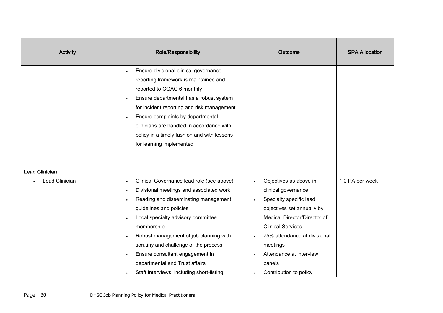| <b>Activity</b>                         | Role/Responsibility                                                                                                                                                                                                                                                                                                                                                                                                                                     | Outcome                                                                                                                                                                                                                                                                       | <b>SPA Allocation</b> |
|-----------------------------------------|---------------------------------------------------------------------------------------------------------------------------------------------------------------------------------------------------------------------------------------------------------------------------------------------------------------------------------------------------------------------------------------------------------------------------------------------------------|-------------------------------------------------------------------------------------------------------------------------------------------------------------------------------------------------------------------------------------------------------------------------------|-----------------------|
|                                         | Ensure divisional clinical governance<br>reporting framework is maintained and<br>reported to CGAC 6 monthly<br>Ensure departmental has a robust system<br>for incident reporting and risk management<br>Ensure complaints by departmental<br>clinicians are handled in accordance with<br>policy in a timely fashion and with lessons<br>for learning implemented                                                                                      |                                                                                                                                                                                                                                                                               |                       |
| <b>Lead Clinician</b><br>Lead Clinician | Clinical Governance lead role (see above)<br>Divisional meetings and associated work<br>$\bullet$<br>Reading and disseminating management<br>$\bullet$<br>guidelines and policies<br>Local specialty advisory committee<br>$\bullet$<br>membership<br>Robust management of job planning with<br>scrutiny and challenge of the process<br>Ensure consultant engagement in<br>departmental and Trust affairs<br>Staff interviews, including short-listing | Objectives as above in<br>clinical governance<br>Specialty specific lead<br>objectives set annually by<br>Medical Director/Director of<br><b>Clinical Services</b><br>75% attendance at divisional<br>meetings<br>Attendance at interview<br>panels<br>Contribution to policy | 1.0 PA per week       |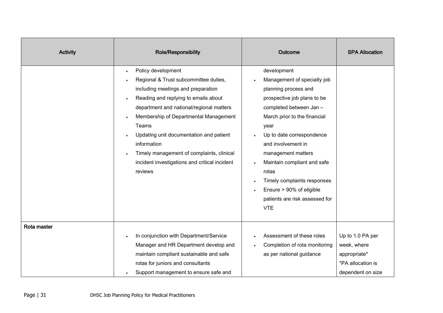| <b>Activity</b> | <b>Role/Responsibility</b>                                                                                                                                                                                                                                                                                                                                                                                              | Outcome                                                                                                                                                                                                                                                                                                                                                                                          | <b>SPA Allocation</b>                                                                     |
|-----------------|-------------------------------------------------------------------------------------------------------------------------------------------------------------------------------------------------------------------------------------------------------------------------------------------------------------------------------------------------------------------------------------------------------------------------|--------------------------------------------------------------------------------------------------------------------------------------------------------------------------------------------------------------------------------------------------------------------------------------------------------------------------------------------------------------------------------------------------|-------------------------------------------------------------------------------------------|
|                 | Policy development<br>$\bullet$<br>Regional & Trust subcommittee duties,<br>including meetings and preparation<br>Reading and replying to emails about<br>department and national/regional matters<br>Membership of Departmental Management<br>Teams<br>Updating unit documentation and patient<br>information<br>Timely management of complaints, clinical<br>incident investigations and critical incident<br>reviews | development<br>Management of specialty job<br>planning process and<br>prospective job plans to be<br>completed between Jan -<br>March prior to the financial<br>year<br>Up to date correspondence<br>and involvement in<br>management matters<br>Maintain compliant and safe<br>rotas<br>Timely complaints responses<br>Ensure > 90% of eligible<br>patients are risk assessed for<br><b>VTE</b> |                                                                                           |
| Rota master     | In conjunction with Department/Service<br>Manager and HR Department develop and<br>maintain compliant sustainable and safe<br>rotas for juniors and consultants<br>Support management to ensure safe and                                                                                                                                                                                                                | Assessment of these roles<br>Completion of rota monitoring<br>as per national guidance                                                                                                                                                                                                                                                                                                           | Up to 1.0 PA per<br>week, where<br>appropriate*<br>*PA allocation is<br>dependent on size |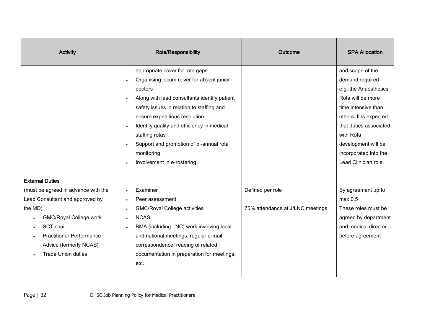| <b>Activity</b>                     | Role/Responsibility                              | Outcome                          | <b>SPA Allocation</b>  |
|-------------------------------------|--------------------------------------------------|----------------------------------|------------------------|
|                                     | appropriate cover for rota gaps                  |                                  | and scope of the       |
|                                     | Organising locum cover for absent junior         |                                  | demand required -      |
|                                     | doctors                                          |                                  | e.g. the Anaesthetics  |
|                                     | Along with lead consultants identify patient     |                                  | Rota will be more      |
|                                     | safety issues in relation to staffing and        |                                  | time intensive than    |
|                                     | ensure expeditious resolution                    |                                  | others. It is expected |
|                                     | Identify quality and efficiency in medical       |                                  | that duties associated |
|                                     | staffing rotas                                   |                                  | with Rota              |
|                                     | Support and promotion of bi-annual rota          |                                  | development will be    |
|                                     | monitoring                                       |                                  | incorporated into the  |
|                                     | Involvement in e-rostering                       |                                  | Lead Clinician role.   |
|                                     |                                                  |                                  |                        |
| <b>External Duties</b>              |                                                  |                                  |                        |
| (must be agreed in advance with the | Examiner                                         | Defined per role                 | By agreement up to     |
| Lead Consultant and approved by     | Peer assessment                                  |                                  | max 0.5                |
| the MD)                             | <b>GMC/Royal College activities</b><br>$\bullet$ | 75% attendance at J/LNC meetings | These roles must be    |
| <b>GMC/Royal College work</b>       | <b>NCAS</b><br>$\bullet$                         |                                  | agreed by department   |
| SCT chair                           | BMA (including LNC) work involving local         |                                  | and medical director   |
| <b>Practitioner Performance</b>     | and national meetings, regular e-mail            |                                  | before agreement       |
| Advice (formerly NCAS)              | correspondence, reading of related               |                                  |                        |
| <b>Trade Union duties</b>           | documentation in preparation for meetings,       |                                  |                        |
|                                     | etc.                                             |                                  |                        |
|                                     |                                                  |                                  |                        |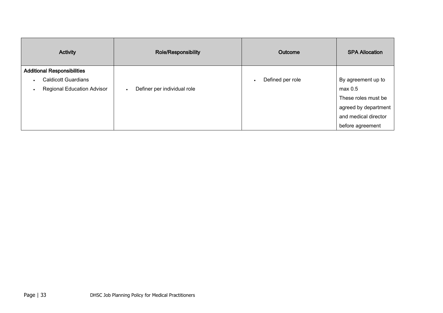| <b>Activity</b>                    | <b>Role/Responsibility</b>               | Outcome          | <b>SPA Allocation</b> |
|------------------------------------|------------------------------------------|------------------|-----------------------|
| <b>Additional Responsibilities</b> |                                          |                  |                       |
| <b>Caldicott Guardians</b>         |                                          | Defined per role | By agreement up to    |
| <b>Regional Education Advisor</b>  | Definer per individual role<br>$\bullet$ |                  | max 0.5               |
|                                    |                                          |                  | These roles must be   |
|                                    |                                          |                  | agreed by department  |
|                                    |                                          |                  | and medical director  |
|                                    |                                          |                  | before agreement      |